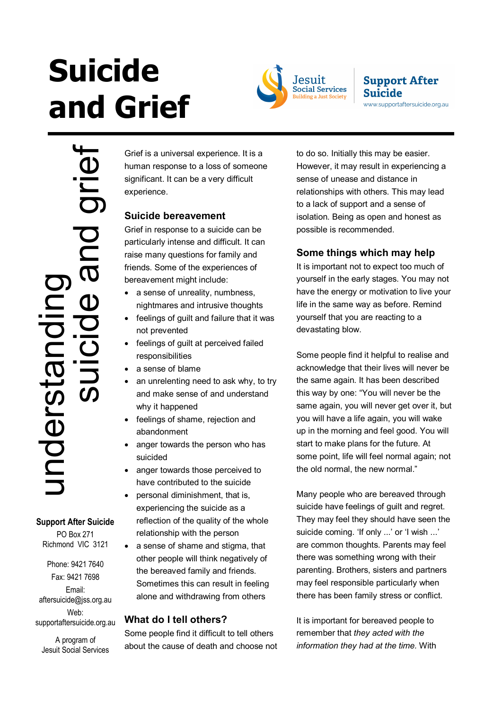# **Suicide and Grief**



### **Support After Suicide** www.supportaftersuicide.org.au

Support After Suicide and Support After Suicide and Support After Suicide and grief Services (PO Box 271<br>
Phone: 9421 7640<br>
Fax: 9421 7698<br>
aftersuicide @jss.org.ar<br>
Web:<br>
A program of<br>
Jesuit Social Services  $\overline{a}$ understan

**Support After Suicide**  PO Box 271 Richmond VIC 3121

Phone: 9421 7640 Fax: 9421 7698 Email: aftersuicide@jss.org.au Web: supportaftersuicide.org.au

A program of Jesuit Social Services Grief is a universal experience. It is a human response to a loss of someone significant. It can be a very difficult experience.

# **Suicide bereavement**

Grief in response to a suicide can be particularly intense and difficult. It can raise many questions for family and friends. Some of the experiences of bereavement might include:

- a sense of unreality, numbness, nightmares and intrusive thoughts
- feelings of guilt and failure that it was not prevented
- feelings of guilt at perceived failed responsibilities
- a sense of blame
- an unrelenting need to ask why, to try and make sense of and understand why it happened
- feelings of shame, rejection and abandonment
- anger towards the person who has suicided
- anger towards those perceived to have contributed to the suicide
- personal diminishment, that is, experiencing the suicide as a reflection of the quality of the whole relationship with the person
- a sense of shame and stigma, that other people will think negatively of the bereaved family and friends. Sometimes this can result in feeling alone and withdrawing from others

# **What do I tell others?**

Some people find it difficult to tell others about the cause of death and choose not to do so. Initially this may be easier. However, it may result in experiencing a sense of unease and distance in relationships with others. This may lead to a lack of support and a sense of isolation. Being as open and honest as possible is recommended.

## **Some things which may help**

It is important not to expect too much of yourself in the early stages. You may not have the energy or motivation to live your life in the same way as before. Remind yourself that you are reacting to a devastating blow.

Some people find it helpful to realise and acknowledge that their lives will never be the same again. It has been described this way by one: "You will never be the same again, you will never get over it, but you will have a life again, you will wake up in the morning and feel good. You will start to make plans for the future. At some point, life will feel normal again; not the old normal, the new normal."

Many people who are bereaved through suicide have feelings of quilt and regret. They may feel they should have seen the suicide coming. 'If only ...' or 'I wish ...' are common thoughts. Parents may feel there was something wrong with their parenting. Brothers, sisters and partners may feel responsible particularly when there has been family stress or conflict.

It is important for bereaved people to remember that *they acted with the information they had at the time.* With